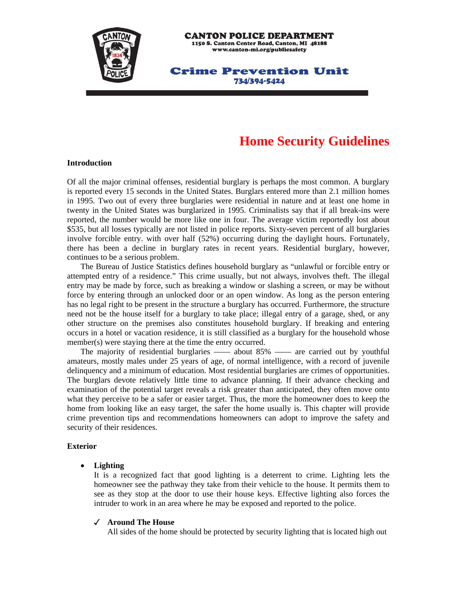

# **Home Security Guidelines**

#### **Introduction**

Of all the major criminal offenses, residential burglary is perhaps the most common. A burglary is reported every 15 seconds in the United States. Burglars entered more than 2.1 million homes in 1995. Two out of every three burglaries were residential in nature and at least one home in twenty in the United States was burglarized in 1995. Criminalists say that if all break-ins were reported, the number would be more like one in four. The average victim reportedly lost about \$535, but all losses typically are not listed in police reports. Sixty-seven percent of all burglaries involve forcible entry. with over half (52%) occurring during the daylight hours. Fortunately, there has been a decline in burglary rates in recent years. Residential burglary, however, continues to be a serious problem.

 The Bureau of Justice Statistics defines household burglary as "unlawful or forcible entry or attempted entry of a residence." This crime usually, but not always, involves theft. The illegal entry may be made by force, such as breaking a window or slashing a screen, or may be without force by entering through an unlocked door or an open window. As long as the person entering has no legal right to be present in the structure a burglary has occurred. Furthermore, the structure need not be the house itself for a burglary to take place; illegal entry of a garage, shed, or any other structure on the premises also constitutes household burglary. If breaking and entering occurs in a hotel or vacation residence, it is still classified as a burglary for the household whose member(s) were staying there at the time the entry occurred.

 The majority of residential burglaries —— about 85% —— are carried out by youthful amateurs, mostly males under 25 years of age, of normal intelligence, with a record of juvenile delinquency and a minimum of education. Most residential burglaries are crimes of opportunities. The burglars devote relatively little time to advance planning. If their advance checking and examination of the potential target reveals a risk greater than anticipated, they often move onto what they perceive to be a safer or easier target. Thus, the more the homeowner does to keep the home from looking like an easy target, the safer the home usually is. This chapter will provide crime prevention tips and recommendations homeowners can adopt to improve the safety and security of their residences.

#### **Exterior**

#### • **Lighting**

 It is a recognized fact that good lighting is a deterrent to crime. Lighting lets the homeowner see the pathway they take from their vehicle to the house. It permits them to see as they stop at the door to use their house keys. Effective lighting also forces the intruder to work in an area where he may be exposed and reported to the police.

#### **Around The House**

All sides of the home should be protected by security lighting that is located high out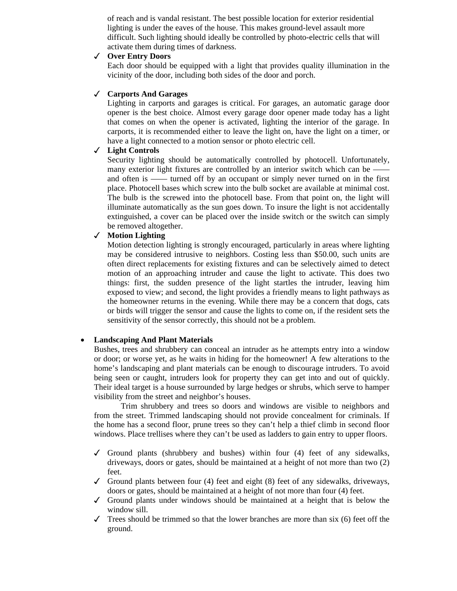of reach and is vandal resistant. The best possible location for exterior residential lighting is under the eaves of the house. This makes ground-level assault more difficult. Such lighting should ideally be controlled by photo-electric cells that will activate them during times of darkness.

#### **Over Entry Doors**

 Each door should be equipped with a light that provides quality illumination in the vicinity of the door, including both sides of the door and porch.

#### **Carports And Garages**

 Lighting in carports and garages is critical. For garages, an automatic garage door opener is the best choice. Almost every garage door opener made today has a light that comes on when the opener is activated, lighting the interior of the garage. In carports, it is recommended either to leave the light on, have the light on a timer, or have a light connected to a motion sensor or photo electric cell.

### **Light Controls**

 Security lighting should be automatically controlled by photocell. Unfortunately, many exterior light fixtures are controlled by an interior switch which can be – and often is —— turned off by an occupant or simply never turned on in the first place. Photocell bases which screw into the bulb socket are available at minimal cost. The bulb is the screwed into the photocell base. From that point on, the light will illuminate automatically as the sun goes down. To insure the light is not accidentally extinguished, a cover can be placed over the inside switch or the switch can simply be removed altogether.

### **Motion Lighting**

 Motion detection lighting is strongly encouraged, particularly in areas where lighting may be considered intrusive to neighbors. Costing less than \$50.00, such units are often direct replacements for existing fixtures and can be selectively aimed to detect motion of an approaching intruder and cause the light to activate. This does two things: first, the sudden presence of the light startles the intruder, leaving him exposed to view; and second, the light provides a friendly means to light pathways as the homeowner returns in the evening. While there may be a concern that dogs, cats or birds will trigger the sensor and cause the lights to come on, if the resident sets the sensitivity of the sensor correctly, this should not be a problem.

#### • **Landscaping And Plant Materials**

 Bushes, trees and shrubbery can conceal an intruder as he attempts entry into a window or door; or worse yet, as he waits in hiding for the homeowner! A few alterations to the home's landscaping and plant materials can be enough to discourage intruders. To avoid being seen or caught, intruders look for property they can get into and out of quickly. Their ideal target is a house surrounded by large hedges or shrubs, which serve to hamper visibility from the street and neighbor's houses.

 Trim shrubbery and trees so doors and windows are visible to neighbors and from the street. Trimmed landscaping should not provide concealment for criminals. If the home has a second floor, prune trees so they can't help a thief climb in second floor windows. Place trellises where they can't be used as ladders to gain entry to upper floors.

- Ground plants (shrubbery and bushes) within four  $(4)$  feet of any sidewalks, driveways, doors or gates, should be maintained at a height of not more than two (2) feet.
- Ground plants between four (4) feet and eight  $(8)$  feet of any sidewalks, driveways, doors or gates, should be maintained at a height of not more than four (4) feet.
- $\checkmark$  Ground plants under windows should be maintained at a height that is below the window sill.
- $\checkmark$  Trees should be trimmed so that the lower branches are more than six (6) feet off the ground.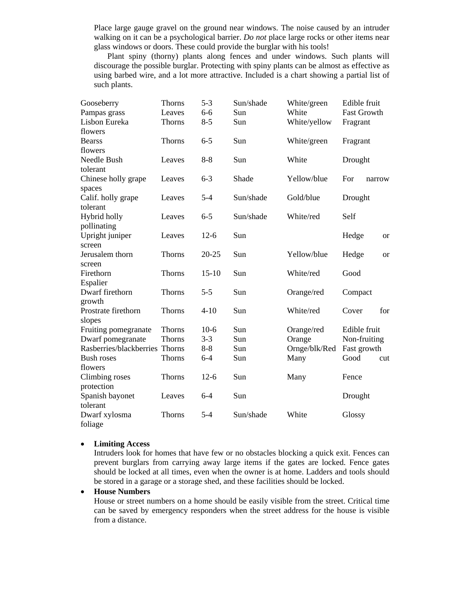Place large gauge gravel on the ground near windows. The noise caused by an intruder walking on it can be a psychological barrier. *Do not* place large rocks or other items near glass windows or doors. These could provide the burglar with his tools!

 Plant spiny (thorny) plants along fences and under windows. Such plants will discourage the possible burglar. Protecting with spiny plants can be almost as effective as using barbed wire, and a lot more attractive. Included is a chart showing a partial list of such plants.

| Gooseberry              | Thorns | $5 - 3$   | Sun/shade | White/green   | Edible fruit           |
|-------------------------|--------|-----------|-----------|---------------|------------------------|
| Pampas grass            | Leaves | $6 - 6$   | Sun       | White         | <b>Fast Growth</b>     |
| Lisbon Eureka           | Thorns | $8 - 5$   | Sun       | White/yellow  | Fragrant               |
| flowers                 |        |           |           |               |                        |
| <b>Bearss</b>           | Thorns | $6 - 5$   | Sun       | White/green   | Fragrant               |
| flowers                 |        |           |           |               |                        |
| Needle Bush             | Leaves | $8 - 8$   | Sun       | White         | Drought                |
| tolerant                |        |           |           |               |                        |
| Chinese holly grape     | Leaves | $6 - 3$   | Shade     | Yellow/blue   | For<br>narrow          |
| spaces                  |        |           |           |               |                        |
| Calif. holly grape      | Leaves | $5 - 4$   | Sun/shade | Gold/blue     | Drought                |
| tolerant                |        |           |           |               |                        |
| Hybrid holly            | Leaves | $6 - 5$   | Sun/shade | White/red     | Self                   |
| pollinating             |        |           |           |               |                        |
| Upright juniper         | Leaves | $12-6$    | Sun       |               | Hedge<br><b>or</b>     |
| screen                  |        |           |           |               |                        |
| Jerusalem thorn         | Thorns | $20 - 25$ | Sun       | Yellow/blue   | Hedge<br><sub>or</sub> |
| screen                  |        |           |           |               |                        |
| Firethorn               | Thorns | $15 - 10$ | Sun       | White/red     | Good                   |
| Espalier                |        |           |           |               |                        |
| Dwarf firethorn         | Thorns | $5 - 5$   | Sun       | Orange/red    | Compact                |
| growth                  |        |           |           |               |                        |
| Prostrate firethorn     | Thorns | $4 - 10$  | Sun       | White/red     | for<br>Cover           |
| slopes                  |        |           |           |               |                        |
| Fruiting pomegranate    | Thorns | $10-6$    | Sun       | Orange/red    | Edible fruit           |
| Dwarf pomegranate       | Thorns | $3 - 3$   | Sun       | Orange        | Non-fruiting           |
| Rasberries/blackberries | Thorns | $8 - 8$   | Sun       | Ornge/blk/Red | Fast growth            |
| <b>Bush roses</b>       | Thorns | $6 - 4$   | Sun       | Many          | Good<br>cut            |
| flowers                 |        |           |           |               |                        |
| Climbing roses          | Thorns | $12-6$    | Sun       | Many          | Fence                  |
| protection              |        |           |           |               |                        |
| Spanish bayonet         | Leaves | $6 - 4$   | Sun       |               | Drought                |
| tolerant                |        |           |           |               |                        |
| Dwarf xylosma           | Thorns | $5 - 4$   | Sun/shade | White         | Glossy                 |
| foliage                 |        |           |           |               |                        |

#### • **Limiting Access**

 Intruders look for homes that have few or no obstacles blocking a quick exit. Fences can prevent burglars from carrying away large items if the gates are locked. Fence gates should be locked at all times, even when the owner is at home. Ladders and tools should be stored in a garage or a storage shed, and these facilities should be locked.

#### • **House Numbers**

 House or street numbers on a home should be easily visible from the street. Critical time can be saved by emergency responders when the street address for the house is visible from a distance.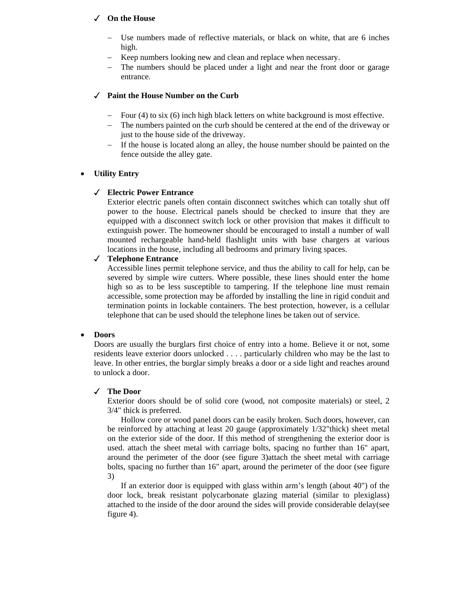### **On the House**

- Use numbers made of reflective materials, or black on white, that are 6 inches high.
- − Keep numbers looking new and clean and replace when necessary.
- The numbers should be placed under a light and near the front door or garage entrance.

#### **Paint the House Number on the Curb**

- − Four (4) to six (6) inch high black letters on white background is most effective.
- − The numbers painted on the curb should be centered at the end of the driveway or just to the house side of the driveway.
- − If the house is located along an alley, the house number should be painted on the fence outside the alley gate.

#### • **Utility Entry**

#### **Electric Power Entrance**

 Exterior electric panels often contain disconnect switches which can totally shut off power to the house. Electrical panels should be checked to insure that they are equipped with a disconnect switch lock or other provision that makes it difficult to extinguish power. The homeowner should be encouraged to install a number of wall mounted rechargeable hand-held flashlight units with base chargers at various locations in the house, including all bedrooms and primary living spaces.

#### **Telephone Entrance**

 Accessible lines permit telephone service, and thus the ability to call for help, can be severed by simple wire cutters. Where possible, these lines should enter the home high so as to be less susceptible to tampering. If the telephone line must remain accessible, some protection may be afforded by installing the line in rigid conduit and termination points in lockable containers. The best protection, however, is a cellular telephone that can be used should the telephone lines be taken out of service.

#### • **Doors**

 Doors are usually the burglars first choice of entry into a home. Believe it or not, some residents leave exterior doors unlocked . . . . particularly children who may be the last to leave. In other entries, the burglar simply breaks a door or a side light and reaches around to unlock a door.

#### **The Door**

 Exterior doors should be of solid core (wood, not composite materials) or steel, 2 3/4" thick is preferred.

 Hollow core or wood panel doors can be easily broken. Such doors, however, can be reinforced by attaching at least 20 gauge (approximately 1/32"thick) sheet metal on the exterior side of the door. If this method of strengthening the exterior door is used. attach the sheet metal with carriage bolts, spacing no further than 16" apart, around the perimeter of the door (see figure 3)attach the sheet metal with carriage bolts, spacing no further than 16" apart, around the perimeter of the door (see figure 3)

 If an exterior door is equipped with glass within arm's length (about 40") of the door lock, break resistant polycarbonate glazing material (similar to plexiglass) attached to the inside of the door around the sides will provide considerable delay(see figure 4).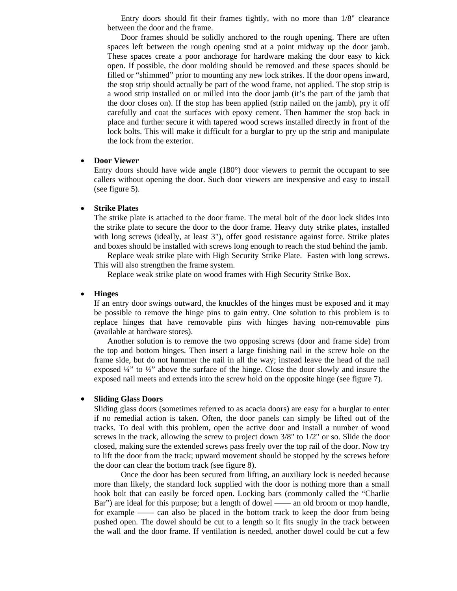Entry doors should fit their frames tightly, with no more than 1/8" clearance between the door and the frame.

 Door frames should be solidly anchored to the rough opening. There are often spaces left between the rough opening stud at a point midway up the door jamb. These spaces create a poor anchorage for hardware making the door easy to kick open. If possible, the door molding should be removed and these spaces should be filled or "shimmed" prior to mounting any new lock strikes. If the door opens inward, the stop strip should actually be part of the wood frame, not applied. The stop strip is a wood strip installed on or milled into the door jamb (it's the part of the jamb that the door closes on). If the stop has been applied (strip nailed on the jamb), pry it off carefully and coat the surfaces with epoxy cement. Then hammer the stop back in place and further secure it with tapered wood screws installed directly in front of the lock bolts. This will make it difficult for a burglar to pry up the strip and manipulate the lock from the exterior.

#### • **Door Viewer**

 Entry doors should have wide angle (180°) door viewers to permit the occupant to see callers without opening the door. Such door viewers are inexpensive and easy to install (see figure 5).

#### • **Strike Plates**

 The strike plate is attached to the door frame. The metal bolt of the door lock slides into the strike plate to secure the door to the door frame. Heavy duty strike plates, installed with long screws (ideally, at least 3"), offer good resistance against force. Strike plates and boxes should be installed with screws long enough to reach the stud behind the jamb.

 Replace weak strike plate with High Security Strike Plate. Fasten with long screws. This will also strengthen the frame system.

Replace weak strike plate on wood frames with High Security Strike Box.

#### • **Hinges**

 If an entry door swings outward, the knuckles of the hinges must be exposed and it may be possible to remove the hinge pins to gain entry. One solution to this problem is to replace hinges that have removable pins with hinges having non-removable pins (available at hardware stores).

 Another solution is to remove the two opposing screws (door and frame side) from the top and bottom hinges. Then insert a large finishing nail in the screw hole on the frame side, but do not hammer the nail in all the way; instead leave the head of the nail exposed  $\frac{1}{4}$ " to  $\frac{1}{2}$ " above the surface of the hinge. Close the door slowly and insure the exposed nail meets and extends into the screw hold on the opposite hinge (see figure 7).

#### • **Sliding Glass Doors**

 Sliding glass doors (sometimes referred to as acacia doors) are easy for a burglar to enter if no remedial action is taken. Often, the door panels can simply be lifted out of the tracks. To deal with this problem, open the active door and install a number of wood screws in the track, allowing the screw to project down  $3/8$ " to  $1/2$ " or so. Slide the door closed, making sure the extended screws pass freely over the top rail of the door. Now try to lift the door from the track; upward movement should be stopped by the screws before the door can clear the bottom track (see figure 8).

 Once the door has been secured from lifting, an auxiliary lock is needed because more than likely, the standard lock supplied with the door is nothing more than a small hook bolt that can easily be forced open. Locking bars (commonly called the "Charlie Bar") are ideal for this purpose; but a length of dowel —— an old broom or mop handle, for example —— can also be placed in the bottom track to keep the door from being pushed open. The dowel should be cut to a length so it fits snugly in the track between the wall and the door frame. If ventilation is needed, another dowel could be cut a few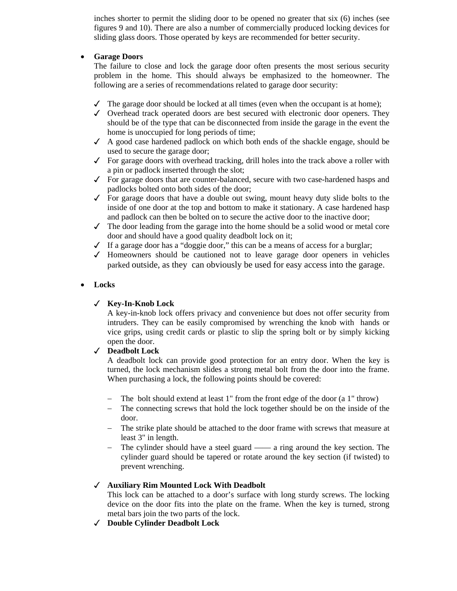inches shorter to permit the sliding door to be opened no greater that six (6) inches (see figures 9 and 10). There are also a number of commercially produced locking devices for sliding glass doors. Those operated by keys are recommended for better security.

#### • **Garage Doors**

 The failure to close and lock the garage door often presents the most serious security problem in the home. This should always be emphasized to the homeowner. The following are a series of recommendations related to garage door security:

- $\checkmark$  The garage door should be locked at all times (even when the occupant is at home);
- $\checkmark$  Overhead track operated doors are best secured with electronic door openers. They should be of the type that can be disconnected from inside the garage in the event the home is unoccupied for long periods of time;
- $\angle$  A good case hardened padlock on which both ends of the shackle engage, should be used to secure the garage door;
- $\checkmark$  For garage doors with overhead tracking, drill holes into the track above a roller with a pin or padlock inserted through the slot;
- $\checkmark$  For garage doors that are counter-balanced, secure with two case-hardened hasps and padlocks bolted onto both sides of the door;
- $\checkmark$  For garage doors that have a double out swing, mount heavy duty slide bolts to the inside of one door at the top and bottom to make it stationary. A case hardened hasp and padlock can then be bolted on to secure the active door to the inactive door;
- $\checkmark$  The door leading from the garage into the home should be a solid wood or metal core door and should have a good quality deadbolt lock on it;
- $\checkmark$  If a garage door has a "doggie door," this can be a means of access for a burglar;
- $\checkmark$  Homeowners should be cautioned not to leave garage door openers in vehicles parked outside, as they can obviously be used for easy access into the garage.

### • **Locks**

### **Key-In-Knob Lock**

 A key-in-knob lock offers privacy and convenience but does not offer security from intruders. They can be easily compromised by wrenching the knob with hands or vice grips, using credit cards or plastic to slip the spring bolt or by simply kicking open the door.

### **Deadbolt Lock**

 A deadbolt lock can provide good protection for an entry door. When the key is turned, the lock mechanism slides a strong metal bolt from the door into the frame. When purchasing a lock, the following points should be covered:

- − The bolt should extend at least 1" from the front edge of the door (a 1" throw)
- − The connecting screws that hold the lock together should be on the inside of the door.
- − The strike plate should be attached to the door frame with screws that measure at least 3" in length.
- The cylinder should have a steel guard —— a ring around the key section. The cylinder guard should be tapered or rotate around the key section (if twisted) to prevent wrenching.

### **Auxiliary Rim Mounted Lock With Deadbolt**

 This lock can be attached to a door's surface with long sturdy screws. The locking device on the door fits into the plate on the frame. When the key is turned, strong metal bars join the two parts of the lock.

**Double Cylinder Deadbolt Lock**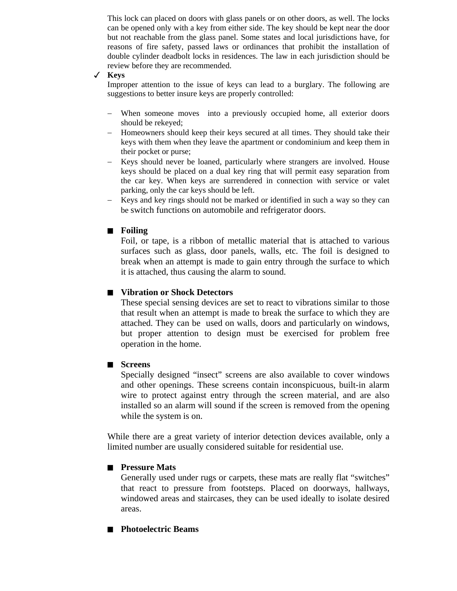This lock can placed on doors with glass panels or on other doors, as well. The locks can be opened only with a key from either side. The key should be kept near the door but not reachable from the glass panel. Some states and local jurisdictions have, for reasons of fire safety, passed laws or ordinances that prohibit the installation of double cylinder deadbolt locks in residences. The law in each jurisdiction should be review before they are recommended.

#### **Keys**

 Improper attention to the issue of keys can lead to a burglary. The following are suggestions to better insure keys are properly controlled:

- − When someone moves into a previously occupied home, all exterior doors should be rekeyed;
- − Homeowners should keep their keys secured at all times. They should take their keys with them when they leave the apartment or condominium and keep them in their pocket or purse;
- − Keys should never be loaned, particularly where strangers are involved. House keys should be placed on a dual key ring that will permit easy separation from the car key. When keys are surrendered in connection with service or valet parking, only the car keys should be left.
- − Keys and key rings should not be marked or identified in such a way so they can be switch functions on automobile and refrigerator doors.

### Q **Foiling**

 Foil, or tape, is a ribbon of metallic material that is attached to various surfaces such as glass, door panels, walls, etc. The foil is designed to break when an attempt is made to gain entry through the surface to which it is attached, thus causing the alarm to sound.

### ■ Vibration or Shock Detectors

 These special sensing devices are set to react to vibrations similar to those that result when an attempt is made to break the surface to which they are attached. They can be used on walls, doors and particularly on windows, but proper attention to design must be exercised for problem free operation in the home.

#### ■ Screens

 Specially designed "insect" screens are also available to cover windows and other openings. These screens contain inconspicuous, built-in alarm wire to protect against entry through the screen material, and are also installed so an alarm will sound if the screen is removed from the opening while the system is on.

While there are a great variety of interior detection devices available, only a limited number are usually considered suitable for residential use.

#### **No. 3** Pressure Mats

 Generally used under rugs or carpets, these mats are really flat "switches" that react to pressure from footsteps. Placed on doorways, hallways, windowed areas and staircases, they can be used ideally to isolate desired areas.

#### ■ Photoelectric Beams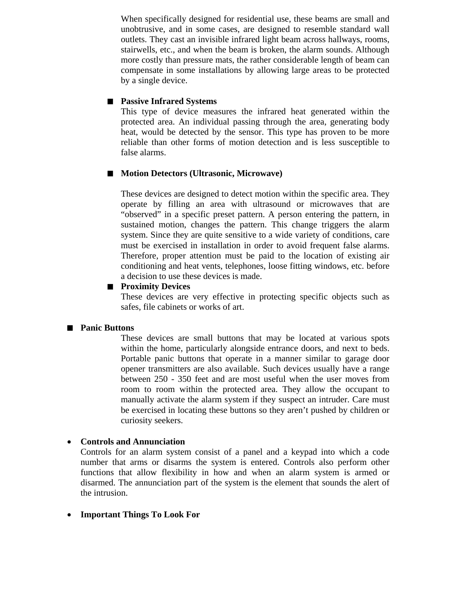When specifically designed for residential use, these beams are small and unobtrusive, and in some cases, are designed to resemble standard wall outlets. They cast an invisible infrared light beam across hallways, rooms, stairwells, etc., and when the beam is broken, the alarm sounds. Although more costly than pressure mats, the rather considerable length of beam can compensate in some installations by allowing large areas to be protected by a single device.

### **Passive Infrared Systems**

 This type of device measures the infrared heat generated within the protected area. An individual passing through the area, generating body heat, would be detected by the sensor. This type has proven to be more reliable than other forms of motion detection and is less susceptible to false alarms.

### ■ Motion Detectors (Ultrasonic, Microwave)

 These devices are designed to detect motion within the specific area. They operate by filling an area with ultrasound or microwaves that are "observed" in a specific preset pattern. A person entering the pattern, in sustained motion, changes the pattern. This change triggers the alarm system. Since they are quite sensitive to a wide variety of conditions, care must be exercised in installation in order to avoid frequent false alarms. Therefore, proper attention must be paid to the location of existing air conditioning and heat vents, telephones, loose fitting windows, etc. before a decision to use these devices is made.

### **Proximity Devices**

 These devices are very effective in protecting specific objects such as safes, file cabinets or works of art.

### ■ **Panic Buttons**

These devices are small buttons that may be located at various spots within the home, particularly alongside entrance doors, and next to beds. Portable panic buttons that operate in a manner similar to garage door opener transmitters are also available. Such devices usually have a range between 250 - 350 feet and are most useful when the user moves from room to room within the protected area. They allow the occupant to manually activate the alarm system if they suspect an intruder. Care must be exercised in locating these buttons so they aren't pushed by children or curiosity seekers.

### • **Controls and Annunciation**

Controls for an alarm system consist of a panel and a keypad into which a code number that arms or disarms the system is entered. Controls also perform other functions that allow flexibility in how and when an alarm system is armed or disarmed. The annunciation part of the system is the element that sounds the alert of the intrusion.

### • **Important Things To Look For**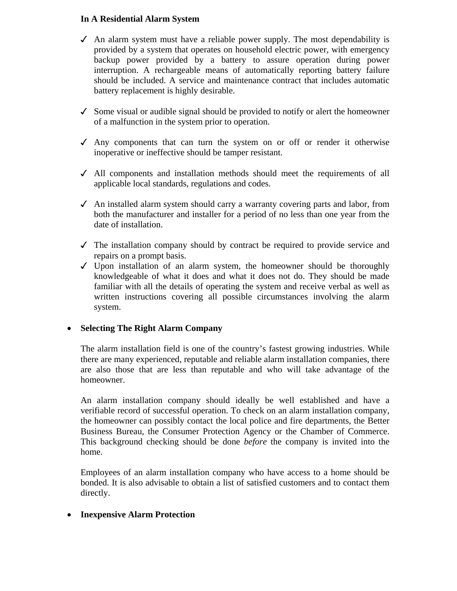### **In A Residential Alarm System**

- $\triangleleft$  An alarm system must have a reliable power supply. The most dependability is provided by a system that operates on household electric power, with emergency backup power provided by a battery to assure operation during power interruption. A rechargeable means of automatically reporting battery failure should be included. A service and maintenance contract that includes automatic battery replacement is highly desirable.
- $\checkmark$  Some visual or audible signal should be provided to notify or alert the homeowner of a malfunction in the system prior to operation.
- $\checkmark$  Any components that can turn the system on or off or render it otherwise inoperative or ineffective should be tamper resistant.
- $\checkmark$  All components and installation methods should meet the requirements of all applicable local standards, regulations and codes.
- $\checkmark$  An installed alarm system should carry a warranty covering parts and labor, from both the manufacturer and installer for a period of no less than one year from the date of installation.
- $\checkmark$  The installation company should by contract be required to provide service and repairs on a prompt basis.
- $\checkmark$  Upon installation of an alarm system, the homeowner should be thoroughly knowledgeable of what it does and what it does not do. They should be made familiar with all the details of operating the system and receive verbal as well as written instructions covering all possible circumstances involving the alarm system.

# • **Selecting The Right Alarm Company**

The alarm installation field is one of the country's fastest growing industries. While there are many experienced, reputable and reliable alarm installation companies, there are also those that are less than reputable and who will take advantage of the homeowner.

An alarm installation company should ideally be well established and have a verifiable record of successful operation. To check on an alarm installation company, the homeowner can possibly contact the local police and fire departments, the Better Business Bureau, the Consumer Protection Agency or the Chamber of Commerce. This background checking should be done *before* the company is invited into the home.

Employees of an alarm installation company who have access to a home should be bonded. It is also advisable to obtain a list of satisfied customers and to contact them directly.

# • **Inexpensive Alarm Protection**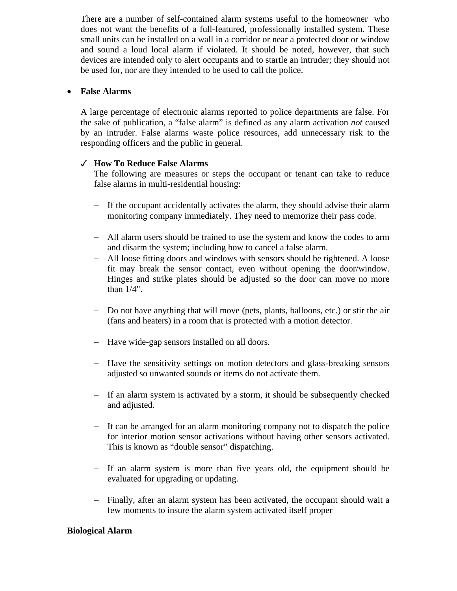There are a number of self-contained alarm systems useful to the homeowner who does not want the benefits of a full-featured, professionally installed system. These small units can be installed on a wall in a corridor or near a protected door or window and sound a loud local alarm if violated. It should be noted, however, that such devices are intended only to alert occupants and to startle an intruder; they should not be used for, nor are they intended to be used to call the police.

### • **False Alarms**

A large percentage of electronic alarms reported to police departments are false. For the sake of publication, a "false alarm" is defined as any alarm activation *not* caused by an intruder. False alarms waste police resources, add unnecessary risk to the responding officers and the public in general.

# **How To Reduce False Alarms**

The following are measures or steps the occupant or tenant can take to reduce false alarms in multi-residential housing:

- − If the occupant accidentally activates the alarm, they should advise their alarm monitoring company immediately. They need to memorize their pass code.
- − All alarm users should be trained to use the system and know the codes to arm and disarm the system; including how to cancel a false alarm.
- − All loose fitting doors and windows with sensors should be tightened. A loose fit may break the sensor contact, even without opening the door/window. Hinges and strike plates should be adjusted so the door can move no more than 1/4".
- − Do not have anything that will move (pets, plants, balloons, etc.) or stir the air (fans and heaters) in a room that is protected with a motion detector.
- − Have wide-gap sensors installed on all doors.
- − Have the sensitivity settings on motion detectors and glass-breaking sensors adjusted so unwanted sounds or items do not activate them.
- − If an alarm system is activated by a storm, it should be subsequently checked and adjusted.
- − It can be arranged for an alarm monitoring company not to dispatch the police for interior motion sensor activations without having other sensors activated. This is known as "double sensor" dispatching.
- − If an alarm system is more than five years old, the equipment should be evaluated for upgrading or updating.
- − Finally, after an alarm system has been activated, the occupant should wait a few moments to insure the alarm system activated itself proper

### **Biological Alarm**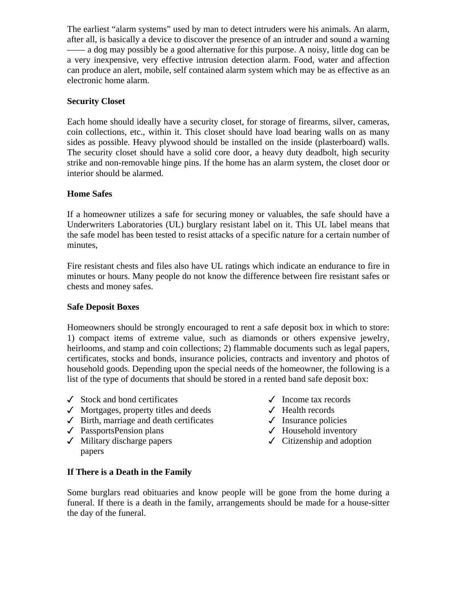The earliest "alarm systems" used by man to detect intruders were his animals. An alarm, after all, is basically a device to discover the presence of an intruder and sound a warning —— a dog may possibly be a good alternative for this purpose. A noisy, little dog can be a very inexpensive, very effective intrusion detection alarm. Food, water and affection can produce an alert, mobile, self contained alarm system which may be as effective as an electronic home alarm.

# **Security Closet**

Each home should ideally have a security closet, for storage of firearms, silver, cameras, coin collections, etc., within it. This closet should have load bearing walls on as many sides as possible. Heavy plywood should be installed on the inside (plasterboard) walls. The security closet should have a solid core door, a heavy duty deadbolt, high security strike and non-removable hinge pins. If the home has an alarm system, the closet door or interior should be alarmed.

# **Home Safes**

If a homeowner utilizes a safe for securing money or valuables, the safe should have a Underwriters Laboratories (UL) burglary resistant label on it. This UL label means that the safe model has been tested to resist attacks of a specific nature for a certain number of minutes,

Fire resistant chests and files also have UL ratings which indicate an endurance to fire in minutes or hours. Many people do not know the difference between fire resistant safes or chests and money safes.

# **Safe Deposit Boxes**

Homeowners should be strongly encouraged to rent a safe deposit box in which to store: 1) compact items of extreme value, such as diamonds or others expensive jewelry, heirlooms, and stamp and coin collections; 2) flammable documents such as legal papers, certificates, stocks and bonds, insurance policies, contracts and inventory and photos of household goods. Depending upon the special needs of the homeowner, the following is a list of the type of documents that should be stored in a rented band safe deposit box:

- $\checkmark$  Stock and bond certificates  $\checkmark$  Income tax records
- $\checkmark$  Mortgages, property titles and deeds  $\checkmark$  Health records
- $\checkmark$  Birth, marriage and death certificates  $\checkmark$  Insurance policies
- $\sqrt{\phantom{a}}$  PassportsPension plans  $\sqrt{\phantom{a}}$  Household inventory
- $\checkmark$  Military discharge papers  $\checkmark$  Citizenship and adoption papers
- 
- 
- 
- 
- 

# **If There is a Death in the Family**

Some burglars read obituaries and know people will be gone from the home during a funeral. If there is a death in the family, arrangements should be made for a house-sitter the day of the funeral.